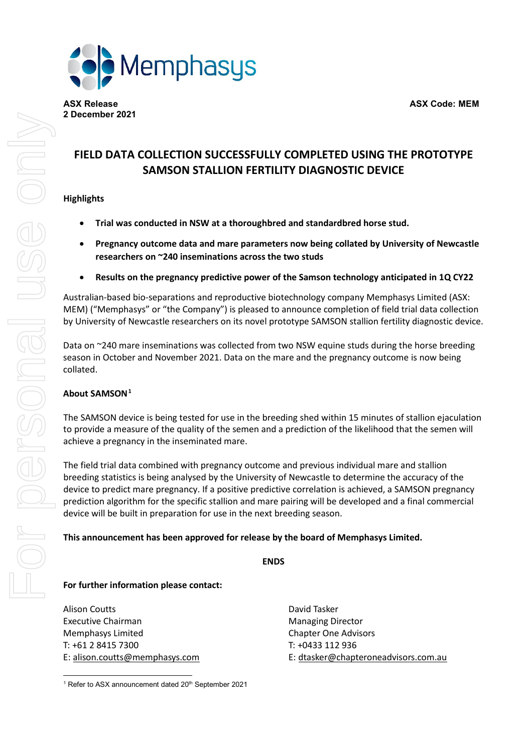

# **FIELD DATA COLLECTION SUCCESSFULLY COMPLETED USING THE PROTOTYPE SAMSON STALLION FERTILITY DIAGNOSTIC DEVICE**

## **Highlights**

- **Trial was conducted in NSW at a thoroughbred and standardbred horse stud.**
- **Pregnancy outcome data and mare parameters now being collated by University of Newcastle researchers on ~240 inseminations across the two studs**
- **Results on the pregnancy predictive power of the Samson technology anticipated in 1Q CY22**

Australian-based bio-separations and reproductive biotechnology company Memphasys Limited (ASX: MEM) ("Memphasys" or "the Company") is pleased to announce completion of field trial data collection by University of Newcastle researchers on its novel prototype SAMSON stallion fertility diagnostic device.

Data on ~240 mare inseminations was collected from two NSW equine studs during the horse breeding season in October and November 2021. Data on the mare and the pregnancy outcome is now being collated.

### **About SAMSON[1](#page-0-0)**

The SAMSON device is being tested for use in the breeding shed within 15 minutes of stallion ejaculation to provide a measure of the quality of the semen and a prediction of the likelihood that the semen will achieve a pregnancy in the inseminated mare.

The field trial data combined with pregnancy outcome and previous individual mare and stallion breeding statistics is being analysed by the University of Newcastle to determine the accuracy of the device to predict mare pregnancy. If a positive predictive correlation is achieved, a SAMSON pregnancy prediction algorithm for the specific stallion and mare pairing will be developed and a final commercial device will be built in preparation for use in the next breeding season.

#### **This announcement has been approved for release by the board of Memphasys Limited.**

### **For further information please contact:**

Alison Coutts **David Tasker** Executive Chairman **Managing Director** Managing Director Memphasys Limited Chapter One Advisors T: +61 2 8415 7300 T: +0433 112 936

E: [alison.coutts@memphasys.com](mailto:alison.coutts@memphasys.com) E: [dtasker@chapteroneadvisors.com.au](mailto:dtasker@chapteroneadvisors.com.au)

<span id="page-0-0"></span><sup>&</sup>lt;sup>1</sup> Refer to ASX announcement dated 20<sup>th</sup> September 2021